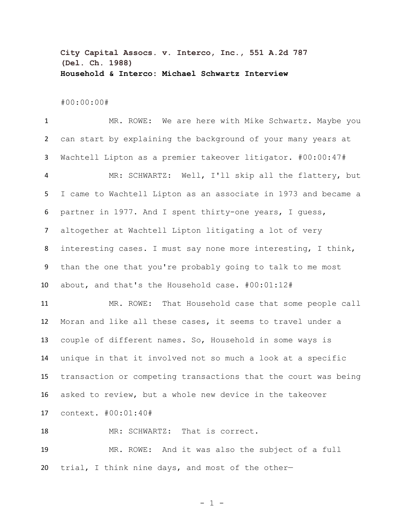**City Capital Assocs. v. Interco, Inc., 551 A.2d 787 (Del. Ch. 1988) Household & Interco: Michael Schwartz Interview**

#00:00:00#

 MR. ROWE: We are here with Mike Schwartz. Maybe you can start by explaining the background of your many years at Wachtell Lipton as a premier takeover litigator. #00:00:47# MR: SCHWARTZ: Well, I'll skip all the flattery, but I came to Wachtell Lipton as an associate in 1973 and became a partner in 1977. And I spent thirty-one years, I guess, altogether at Wachtell Lipton litigating a lot of very interesting cases. I must say none more interesting, I think, than the one that you're probably going to talk to me most about, and that's the Household case. #00:01:12# MR. ROWE: That Household case that some people call Moran and like all these cases, it seems to travel under a couple of different names. So, Household in some ways is unique in that it involved not so much a look at a specific transaction or competing transactions that the court was being asked to review, but a whole new device in the takeover context. #00:01:40# MR: SCHWARTZ: That is correct. MR. ROWE: And it was also the subject of a full trial, I think nine days, and most of the other—

 $- 1 -$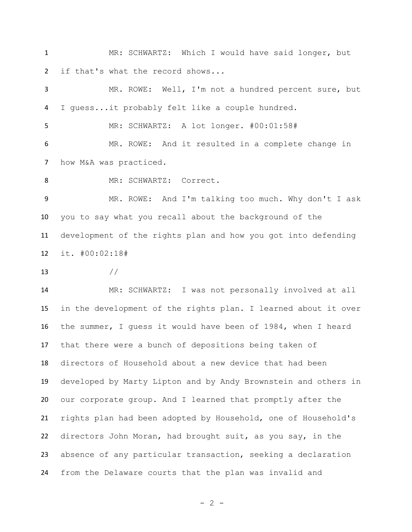MR: SCHWARTZ: Which I would have said longer, but if that's what the record shows...

 MR. ROWE: Well, I'm not a hundred percent sure, but I guess...it probably felt like a couple hundred.

MR: SCHWARTZ: A lot longer. #00:01:58#

 MR. ROWE: And it resulted in a complete change in 7 how M&A was practiced.

8 MR: SCHWARTZ: Correct.

 MR. ROWE: And I'm talking too much. Why don't I ask you to say what you recall about the background of the development of the rights plan and how you got into defending it. #00:02:18#

 $//$ 

 MR: SCHWARTZ: I was not personally involved at all in the development of the rights plan. I learned about it over the summer, I guess it would have been of 1984, when I heard that there were a bunch of depositions being taken of directors of Household about a new device that had been developed by Marty Lipton and by Andy Brownstein and others in our corporate group. And I learned that promptly after the rights plan had been adopted by Household, one of Household's directors John Moran, had brought suit, as you say, in the absence of any particular transaction, seeking a declaration from the Delaware courts that the plan was invalid and

 $- 2 -$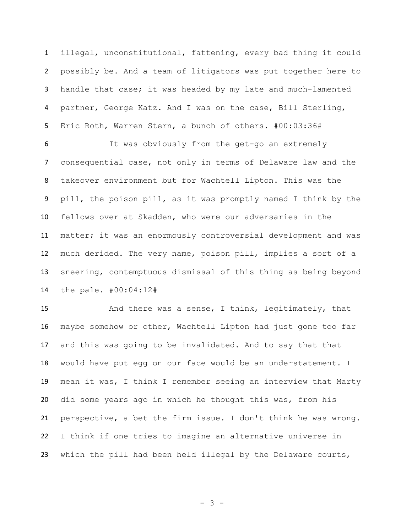illegal, unconstitutional, fattening, every bad thing it could possibly be. And a team of litigators was put together here to handle that case; it was headed by my late and much-lamented partner, George Katz. And I was on the case, Bill Sterling, Eric Roth, Warren Stern, a bunch of others. #00:03:36#

 It was obviously from the get-go an extremely consequential case, not only in terms of Delaware law and the takeover environment but for Wachtell Lipton. This was the pill, the poison pill, as it was promptly named I think by the fellows over at Skadden, who were our adversaries in the matter; it was an enormously controversial development and was much derided. The very name, poison pill, implies a sort of a sneering, contemptuous dismissal of this thing as being beyond the pale. #00:04:12#

 And there was a sense, I think, legitimately, that maybe somehow or other, Wachtell Lipton had just gone too far and this was going to be invalidated. And to say that that would have put egg on our face would be an understatement. I mean it was, I think I remember seeing an interview that Marty did some years ago in which he thought this was, from his perspective, a bet the firm issue. I don't think he was wrong. I think if one tries to imagine an alternative universe in 23 which the pill had been held illegal by the Delaware courts,

- 3 -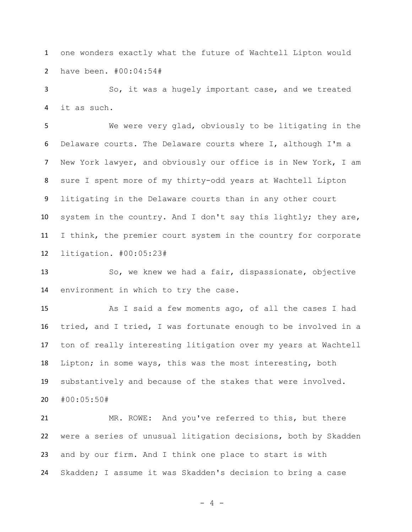one wonders exactly what the future of Wachtell Lipton would have been. #00:04:54#

 So, it was a hugely important case, and we treated it as such.

 We were very glad, obviously to be litigating in the Delaware courts. The Delaware courts where I, although I'm a New York lawyer, and obviously our office is in New York, I am sure I spent more of my thirty-odd years at Wachtell Lipton litigating in the Delaware courts than in any other court system in the country. And I don't say this lightly; they are, I think, the premier court system in the country for corporate litigation. #00:05:23#

 So, we knew we had a fair, dispassionate, objective environment in which to try the case.

 As I said a few moments ago, of all the cases I had tried, and I tried, I was fortunate enough to be involved in a ton of really interesting litigation over my years at Wachtell Lipton; in some ways, this was the most interesting, both substantively and because of the stakes that were involved. #00:05:50#

 MR. ROWE: And you've referred to this, but there were a series of unusual litigation decisions, both by Skadden and by our firm. And I think one place to start is with Skadden; I assume it was Skadden's decision to bring a case

- 4 -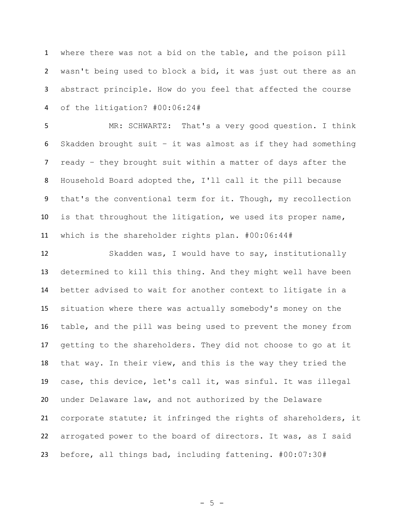where there was not a bid on the table, and the poison pill wasn't being used to block a bid, it was just out there as an abstract principle. How do you feel that affected the course of the litigation? #00:06:24#

 MR: SCHWARTZ: That's a very good question. I think Skadden brought suit – it was almost as if they had something ready – they brought suit within a matter of days after the Household Board adopted the, I'll call it the pill because that's the conventional term for it. Though, my recollection is that throughout the litigation, we used its proper name, which is the shareholder rights plan. #00:06:44#

 Skadden was, I would have to say, institutionally determined to kill this thing. And they might well have been better advised to wait for another context to litigate in a situation where there was actually somebody's money on the table, and the pill was being used to prevent the money from getting to the shareholders. They did not choose to go at it that way. In their view, and this is the way they tried the case, this device, let's call it, was sinful. It was illegal under Delaware law, and not authorized by the Delaware corporate statute; it infringed the rights of shareholders, it arrogated power to the board of directors. It was, as I said before, all things bad, including fattening. #00:07:30#

 $-5 -$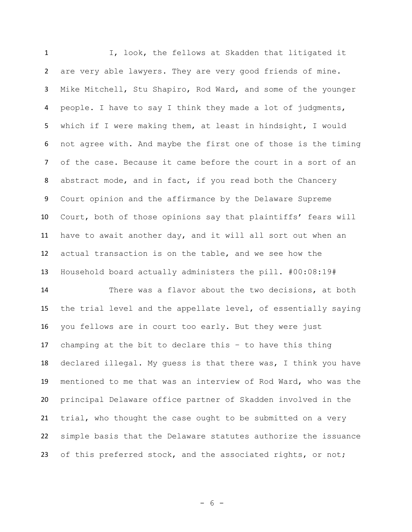I, look, the fellows at Skadden that litigated it are very able lawyers. They are very good friends of mine. Mike Mitchell, Stu Shapiro, Rod Ward, and some of the younger people. I have to say I think they made a lot of judgments, which if I were making them, at least in hindsight, I would not agree with. And maybe the first one of those is the timing of the case. Because it came before the court in a sort of an abstract mode, and in fact, if you read both the Chancery Court opinion and the affirmance by the Delaware Supreme Court, both of those opinions say that plaintiffs' fears will have to await another day, and it will all sort out when an actual transaction is on the table, and we see how the Household board actually administers the pill. #00:08:19#

 There was a flavor about the two decisions, at both the trial level and the appellate level, of essentially saying you fellows are in court too early. But they were just champing at the bit to declare this – to have this thing declared illegal. My guess is that there was, I think you have mentioned to me that was an interview of Rod Ward, who was the principal Delaware office partner of Skadden involved in the trial, who thought the case ought to be submitted on a very simple basis that the Delaware statutes authorize the issuance 23 of this preferred stock, and the associated rights, or not;

- 6 -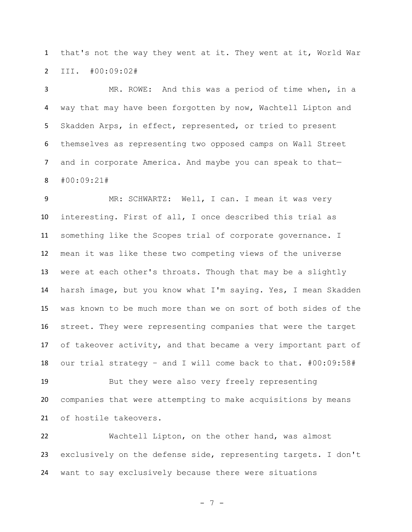that's not the way they went at it. They went at it, World War III. #00:09:02#

 MR. ROWE: And this was a period of time when, in a way that may have been forgotten by now, Wachtell Lipton and Skadden Arps, in effect, represented, or tried to present themselves as representing two opposed camps on Wall Street 7 and in corporate America. And maybe you can speak to that-#00:09:21#

9 MR: SCHWARTZ: Well, I can. I mean it was very interesting. First of all, I once described this trial as something like the Scopes trial of corporate governance. I mean it was like these two competing views of the universe were at each other's throats. Though that may be a slightly harsh image, but you know what I'm saying. Yes, I mean Skadden was known to be much more than we on sort of both sides of the street. They were representing companies that were the target of takeover activity, and that became a very important part of our trial strategy – and I will come back to that. #00:09:58#

 But they were also very freely representing companies that were attempting to make acquisitions by means of hostile takeovers.

 Wachtell Lipton, on the other hand, was almost exclusively on the defense side, representing targets. I don't want to say exclusively because there were situations

- 7 -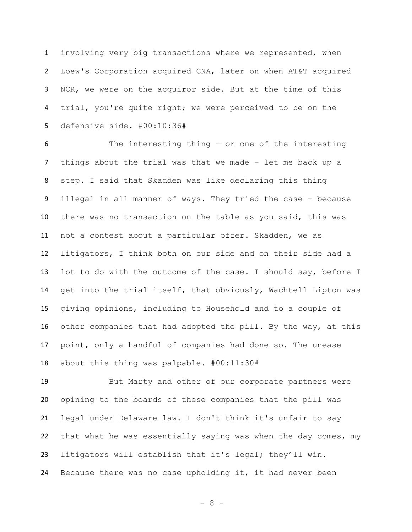involving very big transactions where we represented, when Loew's Corporation acquired CNA, later on when AT&T acquired NCR, we were on the acquiror side. But at the time of this trial, you're quite right; we were perceived to be on the defensive side. #00:10:36#

 The interesting thing – or one of the interesting things about the trial was that we made – let me back up a step. I said that Skadden was like declaring this thing illegal in all manner of ways. They tried the case – because there was no transaction on the table as you said, this was not a contest about a particular offer. Skadden, we as litigators, I think both on our side and on their side had a lot to do with the outcome of the case. I should say, before I get into the trial itself, that obviously, Wachtell Lipton was giving opinions, including to Household and to a couple of other companies that had adopted the pill. By the way, at this point, only a handful of companies had done so. The unease about this thing was palpable. #00:11:30#

 But Marty and other of our corporate partners were opining to the boards of these companies that the pill was legal under Delaware law. I don't think it's unfair to say that what he was essentially saying was when the day comes, my litigators will establish that it's legal; they'll win. Because there was no case upholding it, it had never been

- 8 -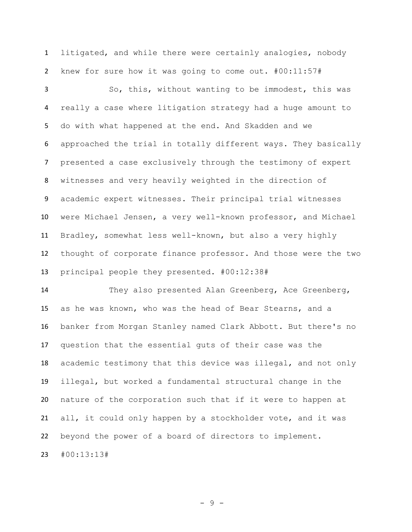litigated, and while there were certainly analogies, nobody knew for sure how it was going to come out. #00:11:57#

 So, this, without wanting to be immodest, this was really a case where litigation strategy had a huge amount to do with what happened at the end. And Skadden and we approached the trial in totally different ways. They basically presented a case exclusively through the testimony of expert witnesses and very heavily weighted in the direction of academic expert witnesses. Their principal trial witnesses were Michael Jensen, a very well-known professor, and Michael Bradley, somewhat less well-known, but also a very highly thought of corporate finance professor. And those were the two principal people they presented. #00:12:38#

 They also presented Alan Greenberg, Ace Greenberg, as he was known, who was the head of Bear Stearns, and a banker from Morgan Stanley named Clark Abbott. But there's no question that the essential guts of their case was the academic testimony that this device was illegal, and not only illegal, but worked a fundamental structural change in the nature of the corporation such that if it were to happen at all, it could only happen by a stockholder vote, and it was beyond the power of a board of directors to implement.

#00:13:13#

- 9 -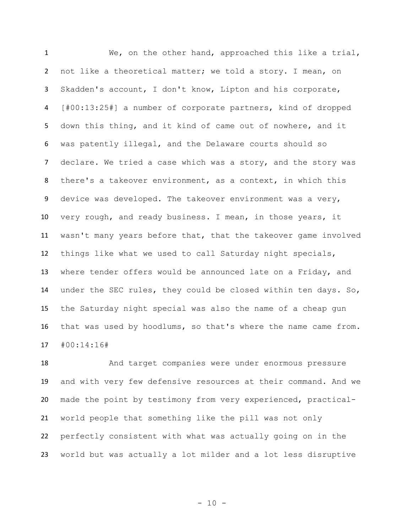We, on the other hand, approached this like a trial, not like a theoretical matter; we told a story. I mean, on Skadden's account, I don't know, Lipton and his corporate, [#00:13:25#] a number of corporate partners, kind of dropped down this thing, and it kind of came out of nowhere, and it was patently illegal, and the Delaware courts should so 7 declare. We tried a case which was a story, and the story was there's a takeover environment, as a context, in which this device was developed. The takeover environment was a very, very rough, and ready business. I mean, in those years, it wasn't many years before that, that the takeover game involved things like what we used to call Saturday night specials, where tender offers would be announced late on a Friday, and under the SEC rules, they could be closed within ten days. So, the Saturday night special was also the name of a cheap gun that was used by hoodlums, so that's where the name came from. #00:14:16#

 And target companies were under enormous pressure and with very few defensive resources at their command. And we made the point by testimony from very experienced, practical- world people that something like the pill was not only perfectly consistent with what was actually going on in the world but was actually a lot milder and a lot less disruptive

 $- 10 -$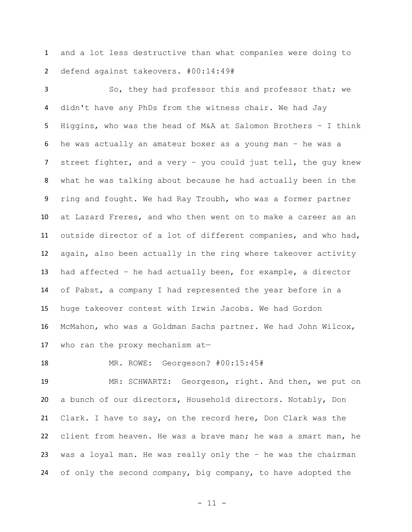and a lot less destructive than what companies were doing to defend against takeovers. #00:14:49#

 So, they had professor this and professor that; we didn't have any PhDs from the witness chair. We had Jay Higgins, who was the head of M&A at Salomon Brothers – I think he was actually an amateur boxer as a young man – he was a street fighter, and a very – you could just tell, the guy knew what he was talking about because he had actually been in the ring and fought. We had Ray Troubh, who was a former partner at Lazard Freres, and who then went on to make a career as an outside director of a lot of different companies, and who had, again, also been actually in the ring where takeover activity had affected – he had actually been, for example, a director of Pabst, a company I had represented the year before in a huge takeover contest with Irwin Jacobs. We had Gordon McMahon, who was a Goldman Sachs partner. We had John Wilcox, who ran the proxy mechanism at—

MR. ROWE: Georgeson? #00:15:45#

 MR: SCHWARTZ: Georgeson, right. And then, we put on a bunch of our directors, Household directors. Notably, Don Clark. I have to say, on the record here, Don Clark was the client from heaven. He was a brave man; he was a smart man, he was a loyal man. He was really only the – he was the chairman of only the second company, big company, to have adopted the

- 11 -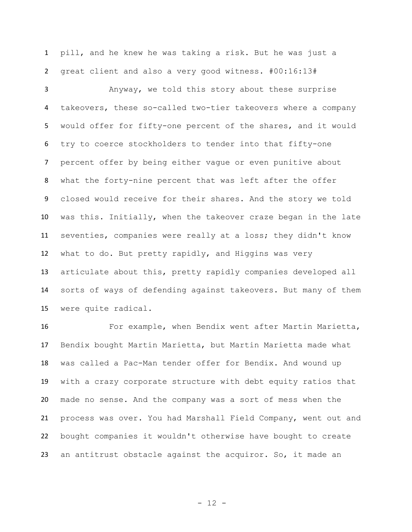pill, and he knew he was taking a risk. But he was just a great client and also a very good witness. #00:16:13#

 Anyway, we told this story about these surprise takeovers, these so-called two-tier takeovers where a company would offer for fifty-one percent of the shares, and it would try to coerce stockholders to tender into that fifty-one percent offer by being either vague or even punitive about what the forty-nine percent that was left after the offer closed would receive for their shares. And the story we told was this. Initially, when the takeover craze began in the late seventies, companies were really at a loss; they didn't know what to do. But pretty rapidly, and Higgins was very articulate about this, pretty rapidly companies developed all sorts of ways of defending against takeovers. But many of them were quite radical.

16 For example, when Bendix went after Martin Marietta, Bendix bought Martin Marietta, but Martin Marietta made what was called a Pac-Man tender offer for Bendix. And wound up with a crazy corporate structure with debt equity ratios that made no sense. And the company was a sort of mess when the process was over. You had Marshall Field Company, went out and bought companies it wouldn't otherwise have bought to create an antitrust obstacle against the acquiror. So, it made an

- 12 -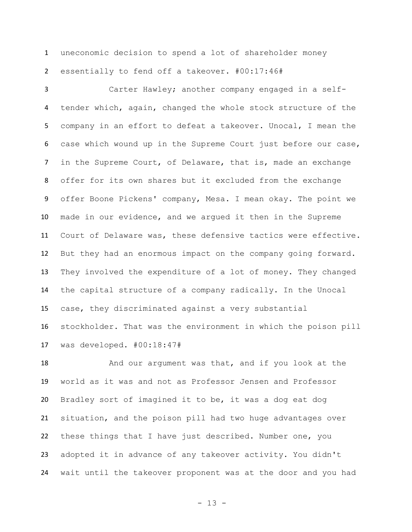uneconomic decision to spend a lot of shareholder money essentially to fend off a takeover. #00:17:46#

 Carter Hawley; another company engaged in a self- tender which, again, changed the whole stock structure of the company in an effort to defeat a takeover. Unocal, I mean the case which wound up in the Supreme Court just before our case, in the Supreme Court, of Delaware, that is, made an exchange offer for its own shares but it excluded from the exchange offer Boone Pickens' company, Mesa. I mean okay. The point we made in our evidence, and we argued it then in the Supreme Court of Delaware was, these defensive tactics were effective. But they had an enormous impact on the company going forward. They involved the expenditure of a lot of money. They changed the capital structure of a company radically. In the Unocal case, they discriminated against a very substantial stockholder. That was the environment in which the poison pill was developed. #00:18:47#

 And our argument was that, and if you look at the world as it was and not as Professor Jensen and Professor Bradley sort of imagined it to be, it was a dog eat dog situation, and the poison pill had two huge advantages over these things that I have just described. Number one, you adopted it in advance of any takeover activity. You didn't wait until the takeover proponent was at the door and you had

- 13 -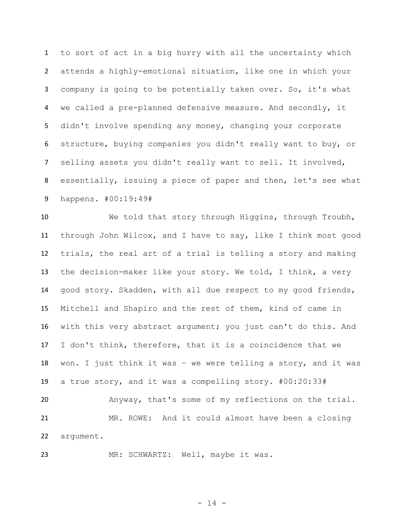to sort of act in a big hurry with all the uncertainty which attends a highly-emotional situation, like one in which your company is going to be potentially taken over. So, it's what we called a pre-planned defensive measure. And secondly, it didn't involve spending any money, changing your corporate structure, buying companies you didn't really want to buy, or selling assets you didn't really want to sell. It involved, essentially, issuing a piece of paper and then, let's see what happens. #00:19:49#

 We told that story through Higgins, through Troubh, through John Wilcox, and I have to say, like I think most good trials, the real art of a trial is telling a story and making the decision-maker like your story. We told, I think, a very good story. Skadden, with all due respect to my good friends, Mitchell and Shapiro and the rest of them, kind of came in with this very abstract argument; you just can't do this. And I don't think, therefore, that it is a coincidence that we won. I just think it was – we were telling a story, and it was a true story, and it was a compelling story. #00:20:33# Anyway, that's some of my reflections on the trial. MR. ROWE: And it could almost have been a closing argument.

23 MR: SCHWARTZ: Well, maybe it was.

- 14 -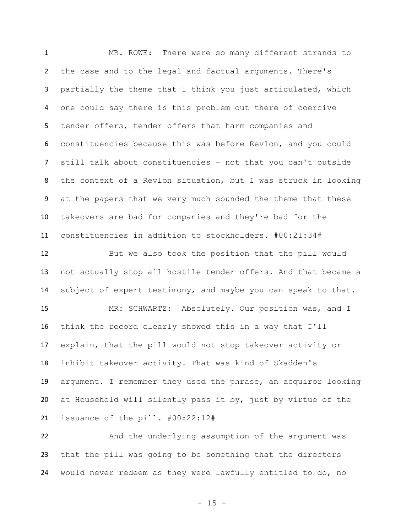MR. ROWE: There were so many different strands to the case and to the legal and factual arguments. There's partially the theme that I think you just articulated, which one could say there is this problem out there of coercive tender offers, tender offers that harm companies and constituencies because this was before Revlon, and you could still talk about constituencies – not that you can't outside the context of a Revlon situation, but I was struck in looking at the papers that we very much sounded the theme that these takeovers are bad for companies and they're bad for the constituencies in addition to stockholders. #00:21:34#

 But we also took the position that the pill would not actually stop all hostile tender offers. And that became a subject of expert testimony, and maybe you can speak to that. MR: SCHWARTZ: Absolutely. Our position was, and I think the record clearly showed this in a way that I'll explain, that the pill would not stop takeover activity or inhibit takeover activity. That was kind of Skadden's argument. I remember they used the phrase, an acquiror looking at Household will silently pass it by, just by virtue of the issuance of the pill. #00:22:12#

 And the underlying assumption of the argument was that the pill was going to be something that the directors would never redeem as they were lawfully entitled to do, no

 $- 15 -$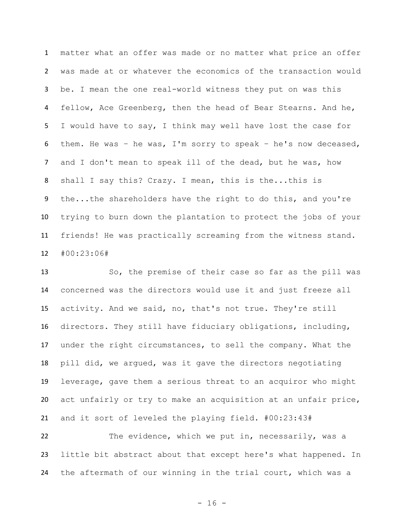matter what an offer was made or no matter what price an offer was made at or whatever the economics of the transaction would be. I mean the one real-world witness they put on was this 4 fellow, Ace Greenberg, then the head of Bear Stearns. And he, I would have to say, I think may well have lost the case for them. He was – he was, I'm sorry to speak – he's now deceased, 7 and I don't mean to speak ill of the dead, but he was, how shall I say this? Crazy. I mean, this is the...this is the...the shareholders have the right to do this, and you're trying to burn down the plantation to protect the jobs of your friends! He was practically screaming from the witness stand. #00:23:06#

 So, the premise of their case so far as the pill was concerned was the directors would use it and just freeze all activity. And we said, no, that's not true. They're still directors. They still have fiduciary obligations, including, under the right circumstances, to sell the company. What the pill did, we argued, was it gave the directors negotiating leverage, gave them a serious threat to an acquiror who might act unfairly or try to make an acquisition at an unfair price, and it sort of leveled the playing field. #00:23:43#

22 The evidence, which we put in, necessarily, was a little bit abstract about that except here's what happened. In the aftermath of our winning in the trial court, which was a

- 16 -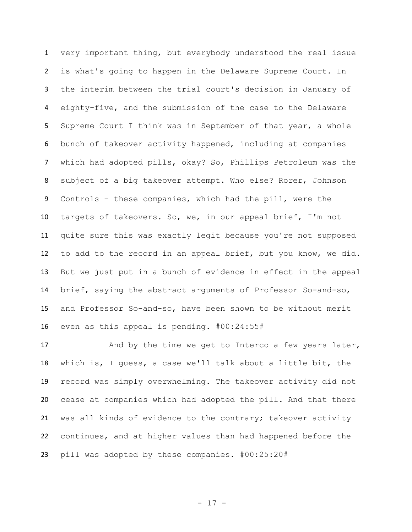very important thing, but everybody understood the real issue is what's going to happen in the Delaware Supreme Court. In the interim between the trial court's decision in January of eighty-five, and the submission of the case to the Delaware Supreme Court I think was in September of that year, a whole bunch of takeover activity happened, including at companies which had adopted pills, okay? So, Phillips Petroleum was the subject of a big takeover attempt. Who else? Rorer, Johnson Controls – these companies, which had the pill, were the targets of takeovers. So, we, in our appeal brief, I'm not quite sure this was exactly legit because you're not supposed to add to the record in an appeal brief, but you know, we did. But we just put in a bunch of evidence in effect in the appeal brief, saying the abstract arguments of Professor So-and-so, and Professor So-and-so, have been shown to be without merit even as this appeal is pending. #00:24:55#

17 And by the time we get to Interco a few years later, which is, I guess, a case we'll talk about a little bit, the record was simply overwhelming. The takeover activity did not cease at companies which had adopted the pill. And that there was all kinds of evidence to the contrary; takeover activity continues, and at higher values than had happened before the pill was adopted by these companies. #00:25:20#

- 17 -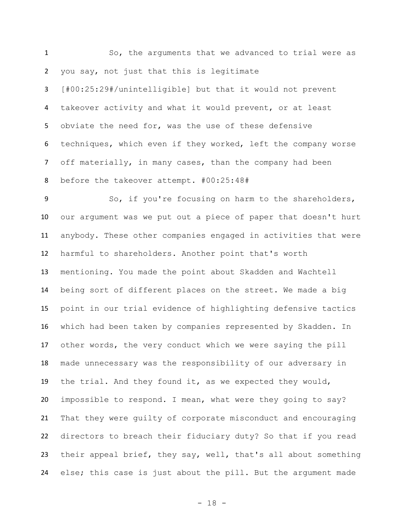So, the arguments that we advanced to trial were as you say, not just that this is legitimate [#00:25:29#/unintelligible] but that it would not prevent takeover activity and what it would prevent, or at least obviate the need for, was the use of these defensive techniques, which even if they worked, left the company worse off materially, in many cases, than the company had been before the takeover attempt. #00:25:48#

 So, if you're focusing on harm to the shareholders, our argument was we put out a piece of paper that doesn't hurt anybody. These other companies engaged in activities that were harmful to shareholders. Another point that's worth mentioning. You made the point about Skadden and Wachtell being sort of different places on the street. We made a big point in our trial evidence of highlighting defensive tactics which had been taken by companies represented by Skadden. In other words, the very conduct which we were saying the pill made unnecessary was the responsibility of our adversary in the trial. And they found it, as we expected they would, impossible to respond. I mean, what were they going to say? That they were guilty of corporate misconduct and encouraging directors to breach their fiduciary duty? So that if you read their appeal brief, they say, well, that's all about something else; this case is just about the pill. But the argument made

- 18 -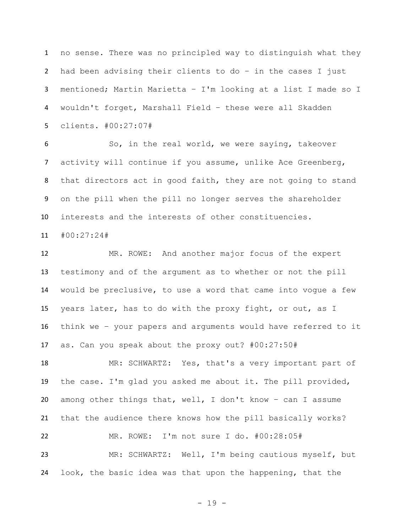no sense. There was no principled way to distinguish what they had been advising their clients to do – in the cases I just mentioned; Martin Marietta – I'm looking at a list I made so I wouldn't forget, Marshall Field – these were all Skadden clients. #00:27:07#

 So, in the real world, we were saying, takeover activity will continue if you assume, unlike Ace Greenberg, that directors act in good faith, they are not going to stand on the pill when the pill no longer serves the shareholder interests and the interests of other constituencies.

#00:27:24#

 MR. ROWE: And another major focus of the expert testimony and of the argument as to whether or not the pill would be preclusive, to use a word that came into vogue a few years later, has to do with the proxy fight, or out, as I think we – your papers and arguments would have referred to it as. Can you speak about the proxy out? #00:27:50#

 MR: SCHWARTZ: Yes, that's a very important part of the case. I'm glad you asked me about it. The pill provided, among other things that, well, I don't know – can I assume that the audience there knows how the pill basically works? MR. ROWE: I'm not sure I do. #00:28:05# MR: SCHWARTZ: Well, I'm being cautious myself, but look, the basic idea was that upon the happening, that the

- 19 -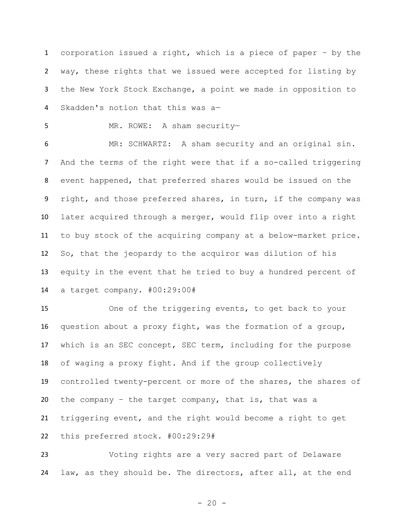corporation issued a right, which is a piece of paper – by the way, these rights that we issued were accepted for listing by the New York Stock Exchange, a point we made in opposition to Skadden's notion that this was a—

MR. ROWE: A sham security—

 MR: SCHWARTZ: A sham security and an original sin. And the terms of the right were that if a so-called triggering event happened, that preferred shares would be issued on the 9 right, and those preferred shares, in turn, if the company was later acquired through a merger, would flip over into a right to buy stock of the acquiring company at a below-market price. So, that the jeopardy to the acquiror was dilution of his equity in the event that he tried to buy a hundred percent of a target company. #00:29:00#

 One of the triggering events, to get back to your question about a proxy fight, was the formation of a group, which is an SEC concept, SEC term, including for the purpose of waging a proxy fight. And if the group collectively controlled twenty-percent or more of the shares, the shares of the company – the target company, that is, that was a triggering event, and the right would become a right to get this preferred stock. #00:29:29#

 Voting rights are a very sacred part of Delaware law, as they should be. The directors, after all, at the end

 $- 20 -$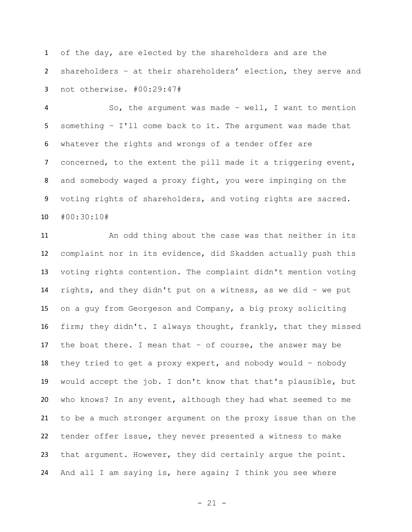of the day, are elected by the shareholders and are the shareholders – at their shareholders' election, they serve and not otherwise. #00:29:47#

 So, the argument was made – well, I want to mention something – I'll come back to it. The argument was made that whatever the rights and wrongs of a tender offer are 7 concerned, to the extent the pill made it a triggering event, and somebody waged a proxy fight, you were impinging on the voting rights of shareholders, and voting rights are sacred. #00:30:10#

 An odd thing about the case was that neither in its complaint nor in its evidence, did Skadden actually push this voting rights contention. The complaint didn't mention voting rights, and they didn't put on a witness, as we did – we put on a guy from Georgeson and Company, a big proxy soliciting firm; they didn't. I always thought, frankly, that they missed the boat there. I mean that – of course, the answer may be they tried to get a proxy expert, and nobody would – nobody would accept the job. I don't know that that's plausible, but who knows? In any event, although they had what seemed to me to be a much stronger argument on the proxy issue than on the tender offer issue, they never presented a witness to make that argument. However, they did certainly argue the point. And all I am saying is, here again; I think you see where

- 21 -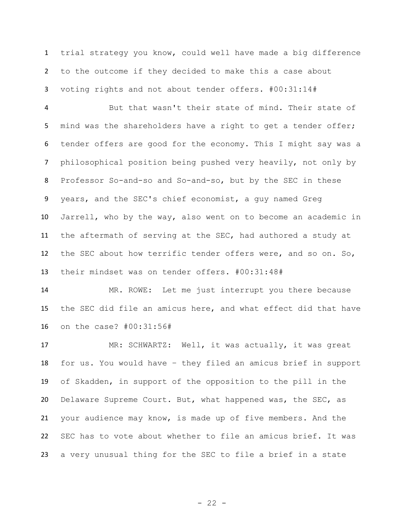trial strategy you know, could well have made a big difference to the outcome if they decided to make this a case about voting rights and not about tender offers. #00:31:14#

 But that wasn't their state of mind. Their state of 5 mind was the shareholders have a right to get a tender offer; tender offers are good for the economy. This I might say was a philosophical position being pushed very heavily, not only by Professor So-and-so and So-and-so, but by the SEC in these years, and the SEC's chief economist, a guy named Greg Jarrell, who by the way, also went on to become an academic in the aftermath of serving at the SEC, had authored a study at the SEC about how terrific tender offers were, and so on. So, their mindset was on tender offers. #00:31:48#

 MR. ROWE: Let me just interrupt you there because the SEC did file an amicus here, and what effect did that have on the case? #00:31:56#

 MR: SCHWARTZ: Well, it was actually, it was great for us. You would have – they filed an amicus brief in support of Skadden, in support of the opposition to the pill in the Delaware Supreme Court. But, what happened was, the SEC, as your audience may know, is made up of five members. And the SEC has to vote about whether to file an amicus brief. It was a very unusual thing for the SEC to file a brief in a state

 $- 22 -$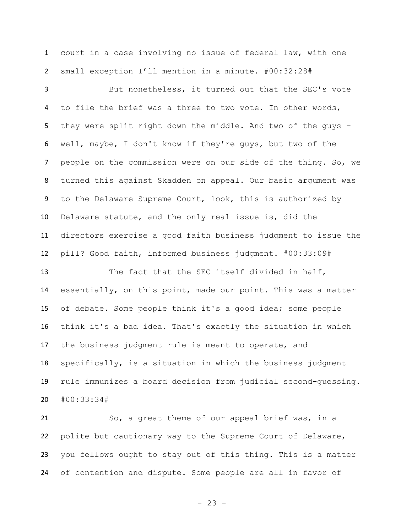court in a case involving no issue of federal law, with one small exception I'll mention in a minute. #00:32:28#

 But nonetheless, it turned out that the SEC's vote 4 to file the brief was a three to two vote. In other words, they were split right down the middle. And two of the guys – well, maybe, I don't know if they're guys, but two of the people on the commission were on our side of the thing. So, we turned this against Skadden on appeal. Our basic argument was to the Delaware Supreme Court, look, this is authorized by Delaware statute, and the only real issue is, did the directors exercise a good faith business judgment to issue the pill? Good faith, informed business judgment. #00:33:09#

13 The fact that the SEC itself divided in half, essentially, on this point, made our point. This was a matter of debate. Some people think it's a good idea; some people think it's a bad idea. That's exactly the situation in which the business judgment rule is meant to operate, and specifically, is a situation in which the business judgment rule immunizes a board decision from judicial second-guessing. #00:33:34#

 So, a great theme of our appeal brief was, in a polite but cautionary way to the Supreme Court of Delaware, you fellows ought to stay out of this thing. This is a matter of contention and dispute. Some people are all in favor of

- 23 -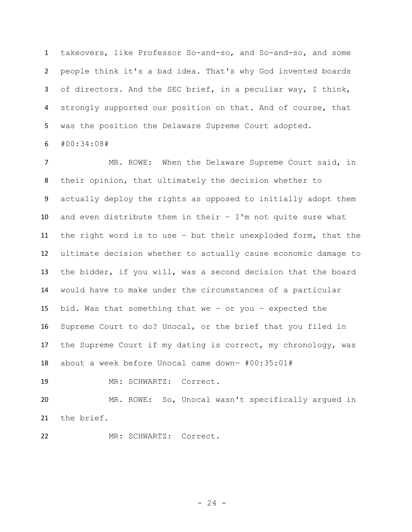takeovers, like Professor So-and-so, and So-and-so, and some people think it's a bad idea. That's why God invented boards 3 of directors. And the SEC brief, in a peculiar way, I think, strongly supported our position on that. And of course, that was the position the Delaware Supreme Court adopted. #00:34:08#

 MR. ROWE: When the Delaware Supreme Court said, in their opinion, that ultimately the decision whether to actually deploy the rights as opposed to initially adopt them and even distribute them in their – I'm not quite sure what the right word is to use – but their unexploded form, that the ultimate decision whether to actually cause economic damage to the bidder, if you will, was a second decision that the board would have to make under the circumstances of a particular bid. Was that something that we – or you – expected the Supreme Court to do? Unocal, or the brief that you filed in the Supreme Court if my dating is correct, my chronology, was about a week before Unocal came down— #00:35:01#

MR: SCHWARTZ: Correct.

 MR. ROWE: So, Unocal wasn't specifically argued in the brief.

MR: SCHWARTZ: Correct.

 $- 24 -$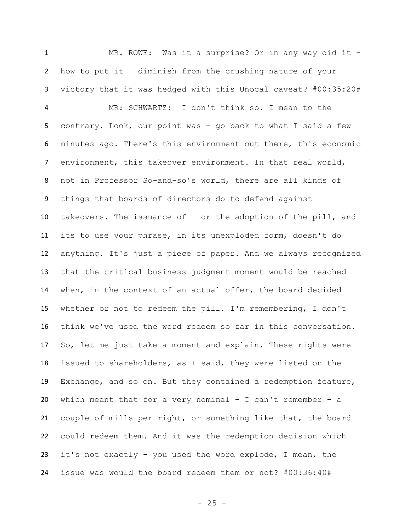1 MR. ROWE: Was it a surprise? Or in any way did it - how to put it – diminish from the crushing nature of your victory that it was hedged with this Unocal caveat? #00:35:20#

 MR: SCHWARTZ: I don't think so. I mean to the contrary. Look, our point was – go back to what I said a few minutes ago. There's this environment out there, this economic environment, this takeover environment. In that real world, not in Professor So-and-so's world, there are all kinds of things that boards of directors do to defend against takeovers. The issuance of – or the adoption of the pill, and its to use your phrase, in its unexploded form, doesn't do anything. It's just a piece of paper. And we always recognized that the critical business judgment moment would be reached when, in the context of an actual offer, the board decided whether or not to redeem the pill. I'm remembering, I don't think we've used the word redeem so far in this conversation. So, let me just take a moment and explain. These rights were issued to shareholders, as I said, they were listed on the Exchange, and so on. But they contained a redemption feature, 20 which meant that for a very nominal  $-$  I can't remember  $-$  a couple of mills per right, or something like that, the board could redeem them. And it was the redemption decision which – it's not exactly – you used the word explode, I mean, the issue was would the board redeem them or not? #00:36:40#

- 25 -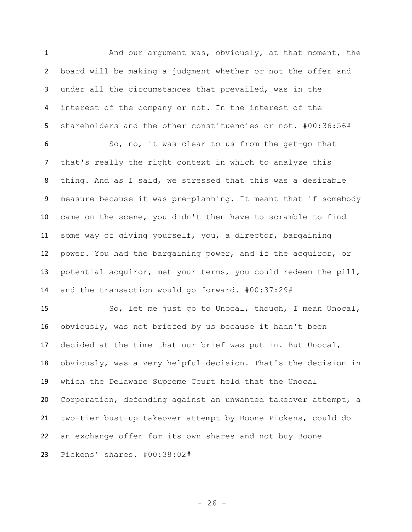And our argument was, obviously, at that moment, the board will be making a judgment whether or not the offer and under all the circumstances that prevailed, was in the interest of the company or not. In the interest of the shareholders and the other constituencies or not. #00:36:56#

 So, no, it was clear to us from the get-go that that's really the right context in which to analyze this thing. And as I said, we stressed that this was a desirable measure because it was pre-planning. It meant that if somebody came on the scene, you didn't then have to scramble to find some way of giving yourself, you, a director, bargaining power. You had the bargaining power, and if the acquiror, or potential acquiror, met your terms, you could redeem the pill, and the transaction would go forward. #00:37:29#

 So, let me just go to Unocal, though, I mean Unocal, obviously, was not briefed by us because it hadn't been decided at the time that our brief was put in. But Unocal, obviously, was a very helpful decision. That's the decision in which the Delaware Supreme Court held that the Unocal Corporation, defending against an unwanted takeover attempt, a two-tier bust-up takeover attempt by Boone Pickens, could do an exchange offer for its own shares and not buy Boone Pickens' shares. #00:38:02#

 $- 26 -$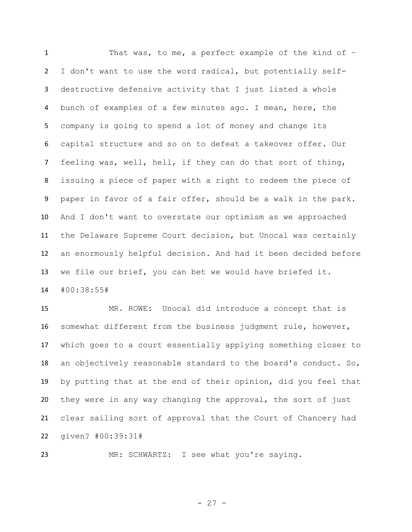That was, to me, a perfect example of the kind of – I don't want to use the word radical, but potentially self- destructive defensive activity that I just listed a whole bunch of examples of a few minutes ago. I mean, here, the company is going to spend a lot of money and change its capital structure and so on to defeat a takeover offer. Our feeling was, well, hell, if they can do that sort of thing, issuing a piece of paper with a right to redeem the piece of paper in favor of a fair offer, should be a walk in the park. And I don't want to overstate our optimism as we approached the Delaware Supreme Court decision, but Unocal was certainly an enormously helpful decision. And had it been decided before we file our brief, you can bet we would have briefed it.

#00:38:55#

 MR. ROWE: Unocal did introduce a concept that is somewhat different from the business judgment rule, however, which goes to a court essentially applying something closer to an objectively reasonable standard to the board's conduct. So, by putting that at the end of their opinion, did you feel that they were in any way changing the approval, the sort of just clear sailing sort of approval that the Court of Chancery had given? #00:39:31#

MR: SCHWARTZ: I see what you're saying.

- 27 -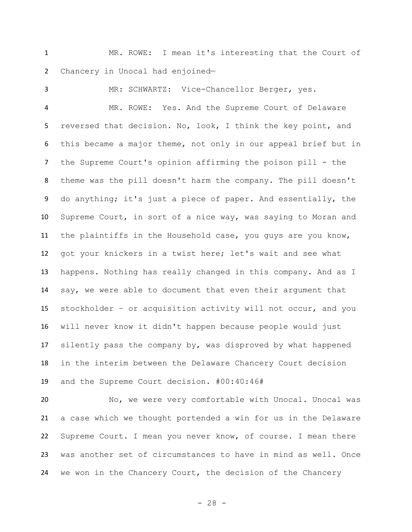MR. ROWE: I mean it's interesting that the Court of Chancery in Unocal had enjoined—

 MR: SCHWARTZ: Vice-Chancellor Berger, yes. MR. ROWE: Yes. And the Supreme Court of Delaware reversed that decision. No, look, I think the key point, and this became a major theme, not only in our appeal brief but in the Supreme Court's opinion affirming the poison pill - the theme was the pill doesn't harm the company. The pill doesn't do anything; it's just a piece of paper. And essentially, the Supreme Court, in sort of a nice way, was saying to Moran and the plaintiffs in the Household case, you guys are you know, got your knickers in a twist here; let's wait and see what happens. Nothing has really changed in this company. And as I say, we were able to document that even their argument that stockholder – or acquisition activity will not occur, and you will never know it didn't happen because people would just silently pass the company by, was disproved by what happened in the interim between the Delaware Chancery Court decision and the Supreme Court decision. #00:40:46#

 No, we were very comfortable with Unocal. Unocal was a case which we thought portended a win for us in the Delaware Supreme Court. I mean you never know, of course. I mean there was another set of circumstances to have in mind as well. Once we won in the Chancery Court, the decision of the Chancery

- 28 -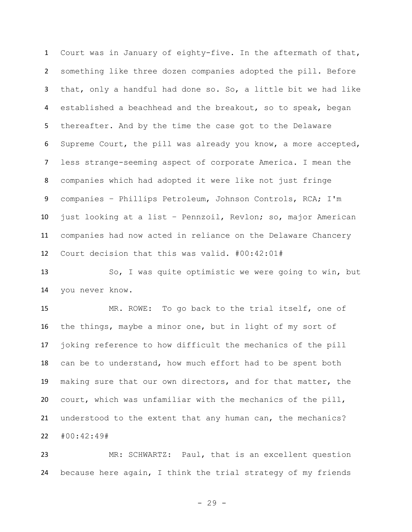Court was in January of eighty-five. In the aftermath of that, something like three dozen companies adopted the pill. Before that, only a handful had done so. So, a little bit we had like 4 established a beachhead and the breakout, so to speak, began thereafter. And by the time the case got to the Delaware Supreme Court, the pill was already you know, a more accepted, less strange-seeming aspect of corporate America. I mean the companies which had adopted it were like not just fringe companies – Phillips Petroleum, Johnson Controls, RCA; I'm just looking at a list – Pennzoil, Revlon; so, major American companies had now acted in reliance on the Delaware Chancery Court decision that this was valid. #00:42:01#

 So, I was quite optimistic we were going to win, but you never know.

 MR. ROWE: To go back to the trial itself, one of the things, maybe a minor one, but in light of my sort of joking reference to how difficult the mechanics of the pill can be to understand, how much effort had to be spent both making sure that our own directors, and for that matter, the court, which was unfamiliar with the mechanics of the pill, understood to the extent that any human can, the mechanics? #00:42:49#

 MR: SCHWARTZ: Paul, that is an excellent question because here again, I think the trial strategy of my friends

- 29 -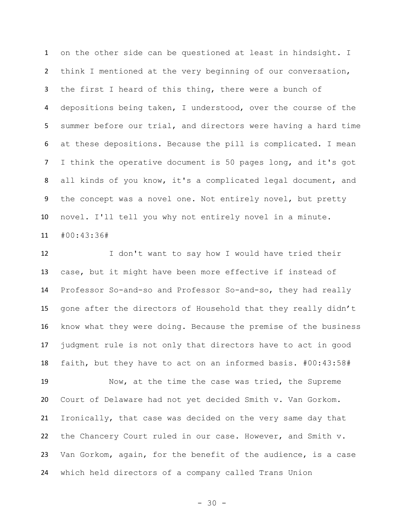on the other side can be questioned at least in hindsight. I think I mentioned at the very beginning of our conversation, the first I heard of this thing, there were a bunch of depositions being taken, I understood, over the course of the summer before our trial, and directors were having a hard time at these depositions. Because the pill is complicated. I mean I think the operative document is 50 pages long, and it's got all kinds of you know, it's a complicated legal document, and the concept was a novel one. Not entirely novel, but pretty novel. I'll tell you why not entirely novel in a minute. #00:43:36#

 I don't want to say how I would have tried their case, but it might have been more effective if instead of Professor So-and-so and Professor So-and-so, they had really gone after the directors of Household that they really didn't know what they were doing. Because the premise of the business judgment rule is not only that directors have to act in good faith, but they have to act on an informed basis. #00:43:58#

 Now, at the time the case was tried, the Supreme Court of Delaware had not yet decided Smith v. Van Gorkom. Ironically, that case was decided on the very same day that the Chancery Court ruled in our case. However, and Smith v. Van Gorkom, again, for the benefit of the audience, is a case which held directors of a company called Trans Union

 $- 30 -$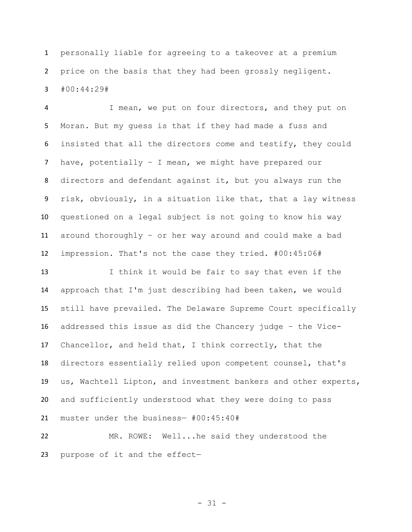personally liable for agreeing to a takeover at a premium price on the basis that they had been grossly negligent. #00:44:29#

 I mean, we put on four directors, and they put on Moran. But my guess is that if they had made a fuss and insisted that all the directors come and testify, they could have, potentially – I mean, we might have prepared our directors and defendant against it, but you always run the risk, obviously, in a situation like that, that a lay witness questioned on a legal subject is not going to know his way around thoroughly – or her way around and could make a bad impression. That's not the case they tried. #00:45:06#

 I think it would be fair to say that even if the approach that I'm just describing had been taken, we would still have prevailed. The Delaware Supreme Court specifically addressed this issue as did the Chancery judge – the Vice- Chancellor, and held that, I think correctly, that the directors essentially relied upon competent counsel, that's us, Wachtell Lipton, and investment bankers and other experts, and sufficiently understood what they were doing to pass muster under the business— #00:45:40#

 MR. ROWE: Well...he said they understood the purpose of it and the effect—

- 31 -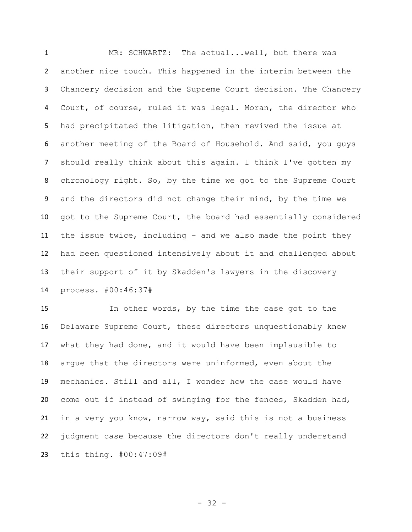MR: SCHWARTZ: The actual...well, but there was another nice touch. This happened in the interim between the Chancery decision and the Supreme Court decision. The Chancery Court, of course, ruled it was legal. Moran, the director who had precipitated the litigation, then revived the issue at another meeting of the Board of Household. And said, you guys should really think about this again. I think I've gotten my chronology right. So, by the time we got to the Supreme Court and the directors did not change their mind, by the time we got to the Supreme Court, the board had essentially considered the issue twice, including – and we also made the point they had been questioned intensively about it and challenged about their support of it by Skadden's lawyers in the discovery process. #00:46:37#

 In other words, by the time the case got to the Delaware Supreme Court, these directors unquestionably knew what they had done, and it would have been implausible to argue that the directors were uninformed, even about the mechanics. Still and all, I wonder how the case would have come out if instead of swinging for the fences, Skadden had, in a very you know, narrow way, said this is not a business judgment case because the directors don't really understand this thing. #00:47:09#

- 32 -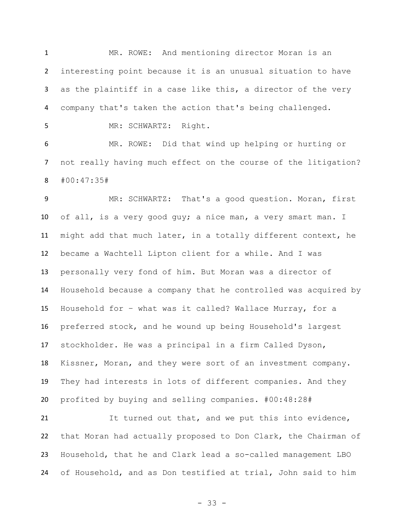MR. ROWE: And mentioning director Moran is an interesting point because it is an unusual situation to have as the plaintiff in a case like this, a director of the very company that's taken the action that's being challenged.

MR: SCHWARTZ: Right.

 MR. ROWE: Did that wind up helping or hurting or not really having much effect on the course of the litigation? #00:47:35#

 MR: SCHWARTZ: That's a good question. Moran, first of all, is a very good guy; a nice man, a very smart man. I might add that much later, in a totally different context, he became a Wachtell Lipton client for a while. And I was personally very fond of him. But Moran was a director of Household because a company that he controlled was acquired by Household for – what was it called? Wallace Murray, for a preferred stock, and he wound up being Household's largest stockholder. He was a principal in a firm Called Dyson, Kissner, Moran, and they were sort of an investment company. They had interests in lots of different companies. And they profited by buying and selling companies. #00:48:28#

21 It turned out that, and we put this into evidence, that Moran had actually proposed to Don Clark, the Chairman of Household, that he and Clark lead a so-called management LBO of Household, and as Don testified at trial, John said to him

- 33 -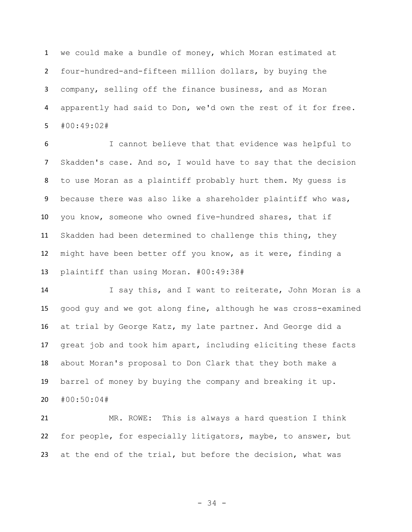we could make a bundle of money, which Moran estimated at four-hundred-and-fifteen million dollars, by buying the company, selling off the finance business, and as Moran apparently had said to Don, we'd own the rest of it for free. #00:49:02#

 I cannot believe that that evidence was helpful to Skadden's case. And so, I would have to say that the decision to use Moran as a plaintiff probably hurt them. My guess is because there was also like a shareholder plaintiff who was, you know, someone who owned five-hundred shares, that if Skadden had been determined to challenge this thing, they might have been better off you know, as it were, finding a plaintiff than using Moran. #00:49:38#

14 I say this, and I want to reiterate, John Moran is a good guy and we got along fine, although he was cross-examined at trial by George Katz, my late partner. And George did a great job and took him apart, including eliciting these facts about Moran's proposal to Don Clark that they both make a barrel of money by buying the company and breaking it up. #00:50:04#

 MR. ROWE: This is always a hard question I think for people, for especially litigators, maybe, to answer, but at the end of the trial, but before the decision, what was

- 34 -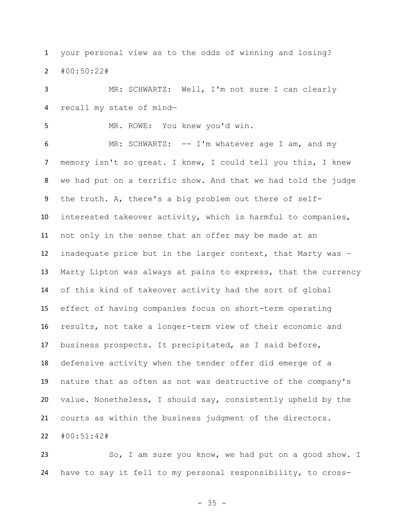your personal view as to the odds of winning and losing? #00:50:22#

 MR: SCHWARTZ: Well, I'm not sure I can clearly recall my state of mind—

MR. ROWE: You knew you'd win.

6 MR: SCHWARTZ: -- I'm whatever age I am, and my memory isn't so great. I knew, I could tell you this, I knew we had put on a terrific show. And that we had told the judge the truth. A, there's a big problem out there of self- interested takeover activity, which is harmful to companies, not only in the sense that an offer may be made at an inadequate price but in the larger context, that Marty was – Marty Lipton was always at pains to express, that the currency of this kind of takeover activity had the sort of global effect of having companies focus on short-term operating results, not take a longer-term view of their economic and business prospects. It precipitated, as I said before, defensive activity when the tender offer did emerge of a nature that as often as not was destructive of the company's value. Nonetheless, I should say, consistently upheld by the courts as within the business judgment of the directors.

#00:51:42#

 So, I am sure you know, we had put on a good show. I have to say it fell to my personal responsibility, to cross-

- 35 -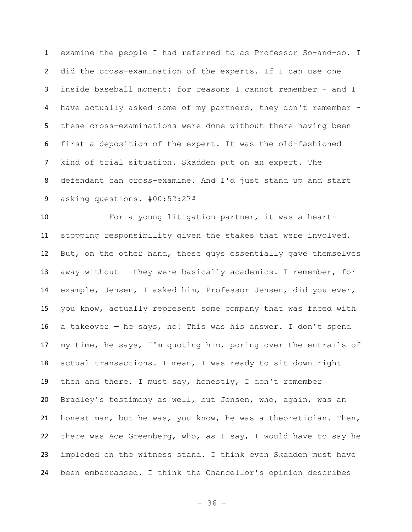examine the people I had referred to as Professor So-and-so. I did the cross-examination of the experts. If I can use one inside baseball moment: for reasons I cannot remember - and I have actually asked some of my partners, they don't remember - these cross-examinations were done without there having been first a deposition of the expert. It was the old-fashioned kind of trial situation. Skadden put on an expert. The defendant can cross-examine. And I'd just stand up and start asking questions. #00:52:27#

 For a young litigation partner, it was a heart- stopping responsibility given the stakes that were involved. But, on the other hand, these guys essentially gave themselves away without – they were basically academics. I remember, for example, Jensen, I asked him, Professor Jensen, did you ever, you know, actually represent some company that was faced with a takeover — he says, no! This was his answer. I don't spend my time, he says, I'm quoting him, poring over the entrails of actual transactions. I mean, I was ready to sit down right then and there. I must say, honestly, I don't remember Bradley's testimony as well, but Jensen, who, again, was an honest man, but he was, you know, he was a theoretician. Then, there was Ace Greenberg, who, as I say, I would have to say he imploded on the witness stand. I think even Skadden must have been embarrassed. I think the Chancellor's opinion describes

- 36 -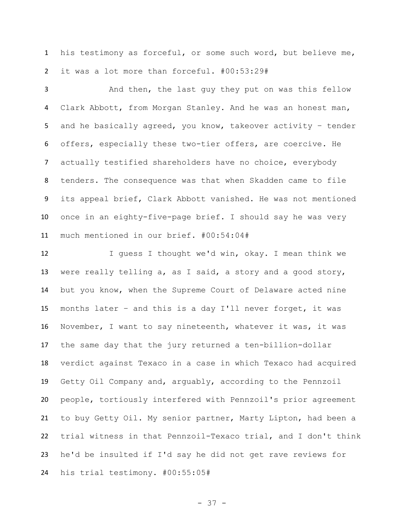his testimony as forceful, or some such word, but believe me, it was a lot more than forceful. #00:53:29#

 And then, the last guy they put on was this fellow Clark Abbott, from Morgan Stanley. And he was an honest man, and he basically agreed, you know, takeover activity – tender offers, especially these two-tier offers, are coercive. He actually testified shareholders have no choice, everybody tenders. The consequence was that when Skadden came to file its appeal brief, Clark Abbott vanished. He was not mentioned once in an eighty-five-page brief. I should say he was very much mentioned in our brief. #00:54:04#

 I guess I thought we'd win, okay. I mean think we were really telling a, as I said, a story and a good story, but you know, when the Supreme Court of Delaware acted nine months later – and this is a day I'll never forget, it was November, I want to say nineteenth, whatever it was, it was the same day that the jury returned a ten-billion-dollar verdict against Texaco in a case in which Texaco had acquired Getty Oil Company and, arguably, according to the Pennzoil people, tortiously interfered with Pennzoil's prior agreement to buy Getty Oil. My senior partner, Marty Lipton, had been a trial witness in that Pennzoil-Texaco trial, and I don't think he'd be insulted if I'd say he did not get rave reviews for his trial testimony. #00:55:05#

- 37 -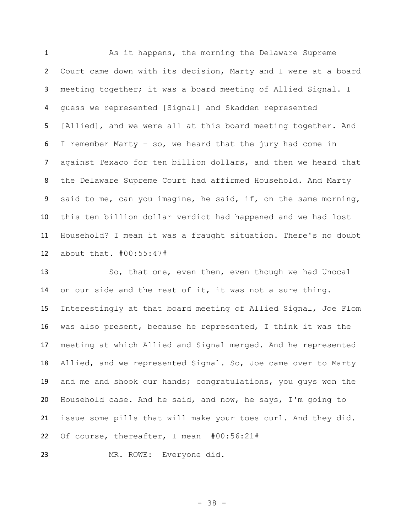As it happens, the morning the Delaware Supreme Court came down with its decision, Marty and I were at a board meeting together; it was a board meeting of Allied Signal. I guess we represented [Signal] and Skadden represented [Allied], and we were all at this board meeting together. And I remember Marty – so, we heard that the jury had come in against Texaco for ten billion dollars, and then we heard that the Delaware Supreme Court had affirmed Household. And Marty said to me, can you imagine, he said, if, on the same morning, this ten billion dollar verdict had happened and we had lost Household? I mean it was a fraught situation. There's no doubt about that. #00:55:47#

 So, that one, even then, even though we had Unocal on our side and the rest of it, it was not a sure thing. Interestingly at that board meeting of Allied Signal, Joe Flom was also present, because he represented, I think it was the meeting at which Allied and Signal merged. And he represented Allied, and we represented Signal. So, Joe came over to Marty and me and shook our hands; congratulations, you guys won the Household case. And he said, and now, he says, I'm going to issue some pills that will make your toes curl. And they did. Of course, thereafter, I mean— #00:56:21#

MR. ROWE: Everyone did.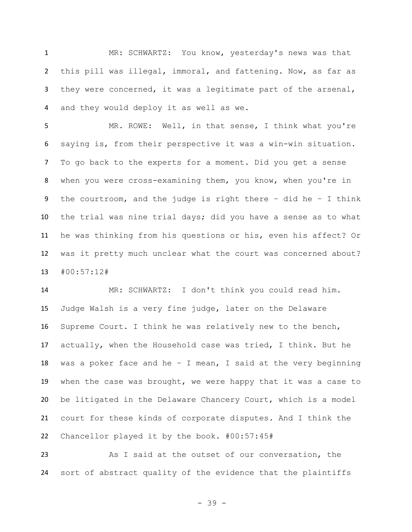MR: SCHWARTZ: You know, yesterday's news was that this pill was illegal, immoral, and fattening. Now, as far as they were concerned, it was a legitimate part of the arsenal, and they would deploy it as well as we.

 MR. ROWE: Well, in that sense, I think what you're saying is, from their perspective it was a win-win situation. To go back to the experts for a moment. Did you get a sense when you were cross-examining them, you know, when you're in the courtroom, and the judge is right there – did he – I think the trial was nine trial days; did you have a sense as to what he was thinking from his questions or his, even his affect? Or was it pretty much unclear what the court was concerned about? #00:57:12#

 MR: SCHWARTZ: I don't think you could read him. Judge Walsh is a very fine judge, later on the Delaware Supreme Court. I think he was relatively new to the bench, actually, when the Household case was tried, I think. But he 18 was a poker face and he - I mean, I said at the very beginning when the case was brought, we were happy that it was a case to be litigated in the Delaware Chancery Court, which is a model court for these kinds of corporate disputes. And I think the Chancellor played it by the book. #00:57:45#

 As I said at the outset of our conversation, the sort of abstract quality of the evidence that the plaintiffs

- 39 -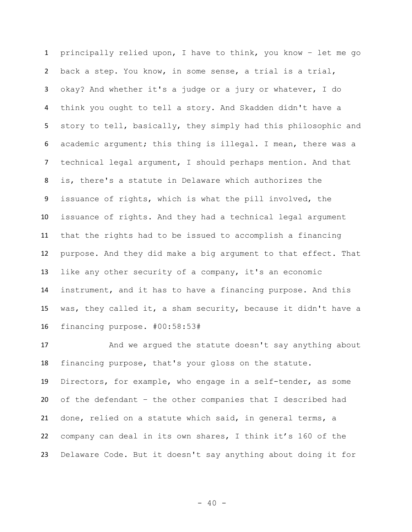principally relied upon, I have to think, you know – let me go back a step. You know, in some sense, a trial is a trial, okay? And whether it's a judge or a jury or whatever, I do think you ought to tell a story. And Skadden didn't have a story to tell, basically, they simply had this philosophic and academic argument; this thing is illegal. I mean, there was a technical legal argument, I should perhaps mention. And that is, there's a statute in Delaware which authorizes the issuance of rights, which is what the pill involved, the issuance of rights. And they had a technical legal argument that the rights had to be issued to accomplish a financing purpose. And they did make a big argument to that effect. That like any other security of a company, it's an economic instrument, and it has to have a financing purpose. And this was, they called it, a sham security, because it didn't have a financing purpose. #00:58:53#

17 And we argued the statute doesn't say anything about financing purpose, that's your gloss on the statute. Directors, for example, who engage in a self-tender, as some of the defendant – the other companies that I described had done, relied on a statute which said, in general terms, a company can deal in its own shares, I think it's 160 of the Delaware Code. But it doesn't say anything about doing it for

 $- 40 -$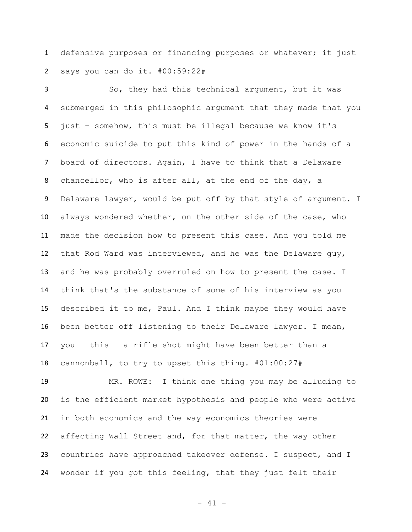defensive purposes or financing purposes or whatever; it just says you can do it. #00:59:22#

 So, they had this technical argument, but it was submerged in this philosophic argument that they made that you just – somehow, this must be illegal because we know it's economic suicide to put this kind of power in the hands of a board of directors. Again, I have to think that a Delaware chancellor, who is after all, at the end of the day, a 9 Delaware lawyer, would be put off by that style of argument. I always wondered whether, on the other side of the case, who made the decision how to present this case. And you told me that Rod Ward was interviewed, and he was the Delaware guy, and he was probably overruled on how to present the case. I think that's the substance of some of his interview as you described it to me, Paul. And I think maybe they would have been better off listening to their Delaware lawyer. I mean, you – this – a rifle shot might have been better than a cannonball, to try to upset this thing. #01:00:27#

 MR. ROWE: I think one thing you may be alluding to is the efficient market hypothesis and people who were active in both economics and the way economics theories were affecting Wall Street and, for that matter, the way other countries have approached takeover defense. I suspect, and I wonder if you got this feeling, that they just felt their

- 41 -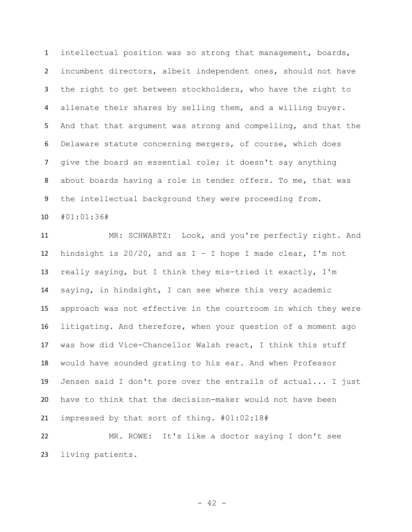intellectual position was so strong that management, boards, incumbent directors, albeit independent ones, should not have the right to get between stockholders, who have the right to alienate their shares by selling them, and a willing buyer. And that that argument was strong and compelling, and that the Delaware statute concerning mergers, of course, which does give the board an essential role; it doesn't say anything about boards having a role in tender offers. To me, that was the intellectual background they were proceeding from. #01:01:36#

 MR: SCHWARTZ: Look, and you're perfectly right. And 12 hindsight is  $20/20$ , and as  $I - I$  hope I made clear, I'm not really saying, but I think they mis-tried it exactly, I'm saying, in hindsight, I can see where this very academic approach was not effective in the courtroom in which they were litigating. And therefore, when your question of a moment ago was how did Vice-Chancellor Walsh react, I think this stuff would have sounded grating to his ear. And when Professor Jensen said I don't pore over the entrails of actual... I just have to think that the decision-maker would not have been impressed by that sort of thing. #01:02:18#

 MR. ROWE: It's like a doctor saying I don't see living patients.

 $- 42 -$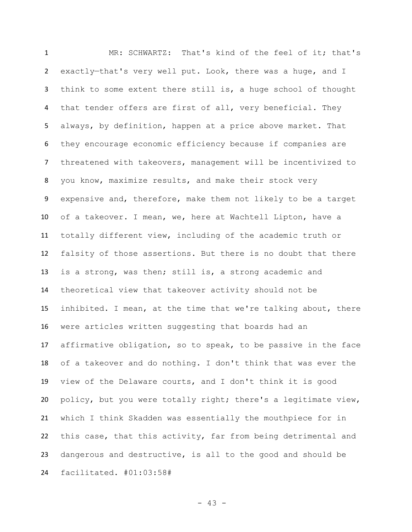MR: SCHWARTZ: That's kind of the feel of it; that's exactly—that's very well put. Look, there was a huge, and I think to some extent there still is, a huge school of thought that tender offers are first of all, very beneficial. They always, by definition, happen at a price above market. That they encourage economic efficiency because if companies are threatened with takeovers, management will be incentivized to you know, maximize results, and make their stock very expensive and, therefore, make them not likely to be a target of a takeover. I mean, we, here at Wachtell Lipton, have a totally different view, including of the academic truth or falsity of those assertions. But there is no doubt that there is a strong, was then; still is, a strong academic and theoretical view that takeover activity should not be inhibited. I mean, at the time that we're talking about, there were articles written suggesting that boards had an affirmative obligation, so to speak, to be passive in the face of a takeover and do nothing. I don't think that was ever the view of the Delaware courts, and I don't think it is good policy, but you were totally right; there's a legitimate view, which I think Skadden was essentially the mouthpiece for in this case, that this activity, far from being detrimental and dangerous and destructive, is all to the good and should be facilitated. #01:03:58#

- 43 -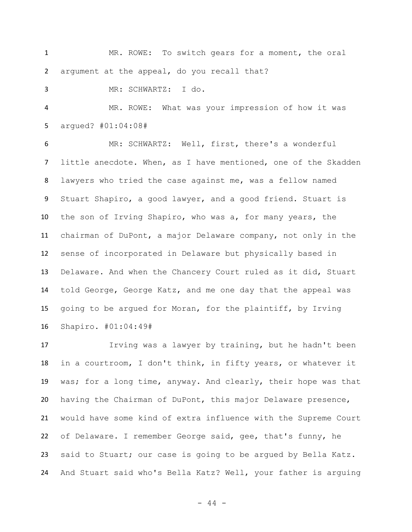MR. ROWE: To switch gears for a moment, the oral argument at the appeal, do you recall that?

MR: SCHWARTZ: I do.

 MR. ROWE: What was your impression of how it was argued? #01:04:08#

 MR: SCHWARTZ: Well, first, there's a wonderful little anecdote. When, as I have mentioned, one of the Skadden lawyers who tried the case against me, was a fellow named Stuart Shapiro, a good lawyer, and a good friend. Stuart is the son of Irving Shapiro, who was a, for many years, the chairman of DuPont, a major Delaware company, not only in the sense of incorporated in Delaware but physically based in Delaware. And when the Chancery Court ruled as it did, Stuart told George, George Katz, and me one day that the appeal was going to be argued for Moran, for the plaintiff, by Irving Shapiro. #01:04:49#

 Irving was a lawyer by training, but he hadn't been in a courtroom, I don't think, in fifty years, or whatever it was; for a long time, anyway. And clearly, their hope was that having the Chairman of DuPont, this major Delaware presence, would have some kind of extra influence with the Supreme Court of Delaware. I remember George said, gee, that's funny, he said to Stuart; our case is going to be argued by Bella Katz. And Stuart said who's Bella Katz? Well, your father is arguing

 $-44 -$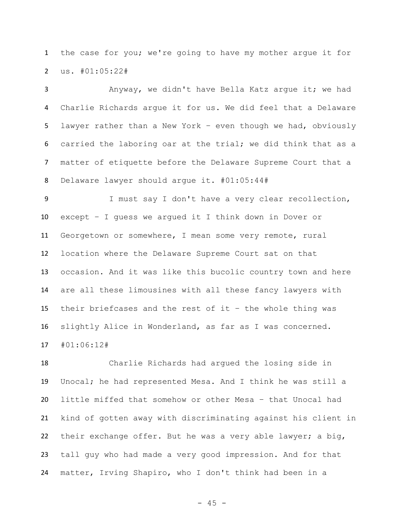the case for you; we're going to have my mother argue it for us. #01:05:22#

 Anyway, we didn't have Bella Katz argue it; we had Charlie Richards argue it for us. We did feel that a Delaware lawyer rather than a New York – even though we had, obviously carried the laboring oar at the trial; we did think that as a matter of etiquette before the Delaware Supreme Court that a Delaware lawyer should argue it. #01:05:44#

 I must say I don't have a very clear recollection, except – I guess we argued it I think down in Dover or Georgetown or somewhere, I mean some very remote, rural location where the Delaware Supreme Court sat on that occasion. And it was like this bucolic country town and here are all these limousines with all these fancy lawyers with their briefcases and the rest of it – the whole thing was slightly Alice in Wonderland, as far as I was concerned. #01:06:12#

 Charlie Richards had argued the losing side in Unocal; he had represented Mesa. And I think he was still a little miffed that somehow or other Mesa – that Unocal had kind of gotten away with discriminating against his client in their exchange offer. But he was a very able lawyer; a big, tall guy who had made a very good impression. And for that matter, Irving Shapiro, who I don't think had been in a

 $- 45 -$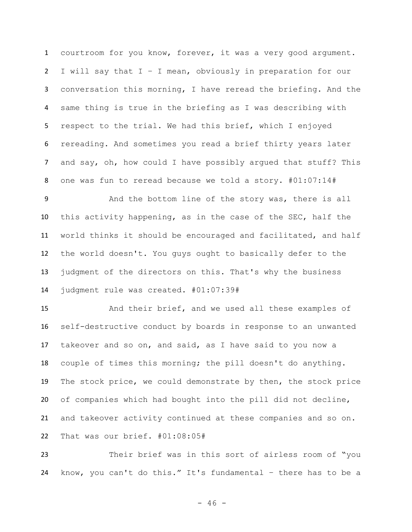courtroom for you know, forever, it was a very good argument. I will say that I – I mean, obviously in preparation for our conversation this morning, I have reread the briefing. And the same thing is true in the briefing as I was describing with respect to the trial. We had this brief, which I enjoyed rereading. And sometimes you read a brief thirty years later and say, oh, how could I have possibly argued that stuff? This one was fun to reread because we told a story. #01:07:14#

 And the bottom line of the story was, there is all this activity happening, as in the case of the SEC, half the world thinks it should be encouraged and facilitated, and half the world doesn't. You guys ought to basically defer to the judgment of the directors on this. That's why the business judgment rule was created. #01:07:39#

 And their brief, and we used all these examples of self-destructive conduct by boards in response to an unwanted takeover and so on, and said, as I have said to you now a couple of times this morning; the pill doesn't do anything. The stock price, we could demonstrate by then, the stock price of companies which had bought into the pill did not decline, and takeover activity continued at these companies and so on. That was our brief. #01:08:05#

 Their brief was in this sort of airless room of "you know, you can't do this." It's fundamental – there has to be a

 $- 46 -$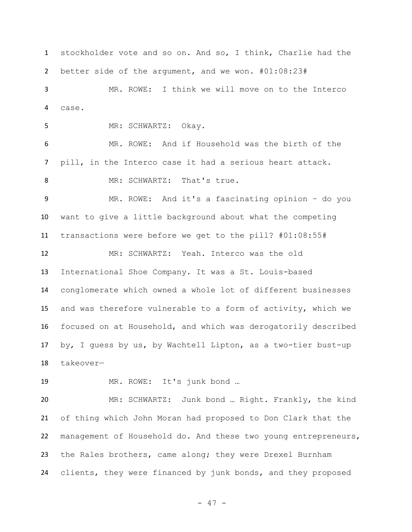stockholder vote and so on. And so, I think, Charlie had the better side of the argument, and we won. #01:08:23#

 MR. ROWE: I think we will move on to the Interco case.

MR: SCHWARTZ: Okay.

 MR. ROWE: And if Household was the birth of the pill, in the Interco case it had a serious heart attack. 8 MR: SCHWARTZ: That's true.

 MR. ROWE: And it's a fascinating opinion – do you want to give a little background about what the competing transactions were before we get to the pill? #01:08:55#

 MR: SCHWARTZ: Yeah. Interco was the old International Shoe Company. It was a St. Louis-based conglomerate which owned a whole lot of different businesses and was therefore vulnerable to a form of activity, which we focused on at Household, and which was derogatorily described by, I guess by us, by Wachtell Lipton, as a two-tier bust-up takeover—

MR. ROWE: It's junk bond …

 MR: SCHWARTZ: Junk bond … Right. Frankly, the kind of thing which John Moran had proposed to Don Clark that the management of Household do. And these two young entrepreneurs, the Rales brothers, came along; they were Drexel Burnham clients, they were financed by junk bonds, and they proposed

- 47 -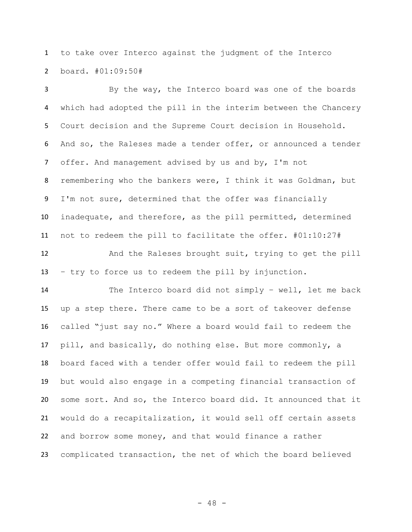to take over Interco against the judgment of the Interco board. #01:09:50#

 By the way, the Interco board was one of the boards which had adopted the pill in the interim between the Chancery Court decision and the Supreme Court decision in Household. And so, the Raleses made a tender offer, or announced a tender offer. And management advised by us and by, I'm not remembering who the bankers were, I think it was Goldman, but I'm not sure, determined that the offer was financially inadequate, and therefore, as the pill permitted, determined not to redeem the pill to facilitate the offer. #01:10:27#

 And the Raleses brought suit, trying to get the pill – try to force us to redeem the pill by injunction.

 The Interco board did not simply – well, let me back up a step there. There came to be a sort of takeover defense called "just say no." Where a board would fail to redeem the pill, and basically, do nothing else. But more commonly, a board faced with a tender offer would fail to redeem the pill but would also engage in a competing financial transaction of some sort. And so, the Interco board did. It announced that it would do a recapitalization, it would sell off certain assets and borrow some money, and that would finance a rather complicated transaction, the net of which the board believed

- 48 -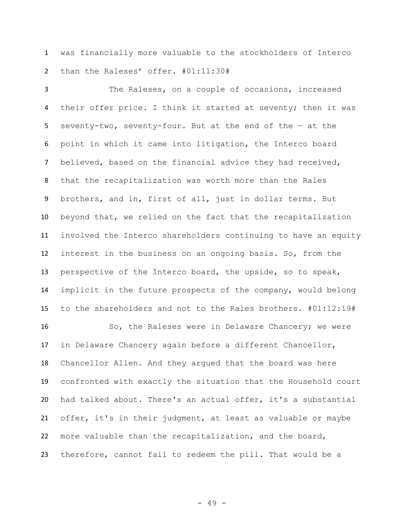was financially more valuable to the stockholders of Interco than the Raleses' offer. #01:11:30#

 The Raleses, on a couple of occasions, increased their offer price. I think it started at seventy; then it was seventy-two, seventy-four. But at the end of the – at the point in which it came into litigation, the Interco board believed, based on the financial advice they had received, that the recapitalization was worth more than the Rales brothers, and in, first of all, just in dollar terms. But beyond that, we relied on the fact that the recapitalization involved the Interco shareholders continuing to have an equity interest in the business on an ongoing basis. So, from the perspective of the Interco board, the upside, so to speak, implicit in the future prospects of the company, would belong to the shareholders and not to the Rales brothers. #01:12:19#

16 So, the Raleses were in Delaware Chancery; we were in Delaware Chancery again before a different Chancellor, Chancellor Allen. And they argued that the board was here confronted with exactly the situation that the Household court had talked about. There's an actual offer, it's a substantial offer, it's in their judgment, at least as valuable or maybe more valuable than the recapitalization, and the board, therefore, cannot fail to redeem the pill. That would be a

- 49 -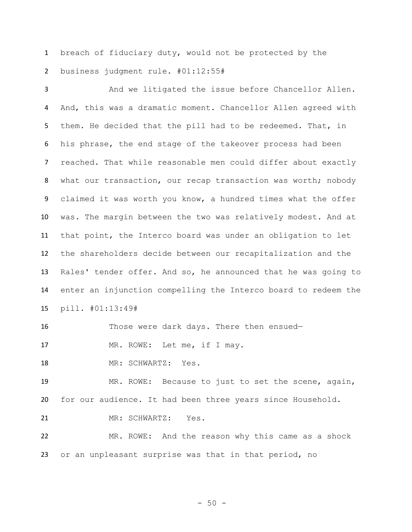breach of fiduciary duty, would not be protected by the business judgment rule. #01:12:55#

 And we litigated the issue before Chancellor Allen. And, this was a dramatic moment. Chancellor Allen agreed with them. He decided that the pill had to be redeemed. That, in his phrase, the end stage of the takeover process had been reached. That while reasonable men could differ about exactly 8 what our transaction, our recap transaction was worth; nobody claimed it was worth you know, a hundred times what the offer was. The margin between the two was relatively modest. And at that point, the Interco board was under an obligation to let the shareholders decide between our recapitalization and the Rales' tender offer. And so, he announced that he was going to enter an injunction compelling the Interco board to redeem the pill. #01:13:49#

Those were dark days. There then ensued—

17 MR. ROWE: Let me, if I may.

MR: SCHWARTZ: Yes.

 MR. ROWE: Because to just to set the scene, again, for our audience. It had been three years since Household.

MR: SCHWARTZ: Yes.

 MR. ROWE: And the reason why this came as a shock or an unpleasant surprise was that in that period, no

- 50 -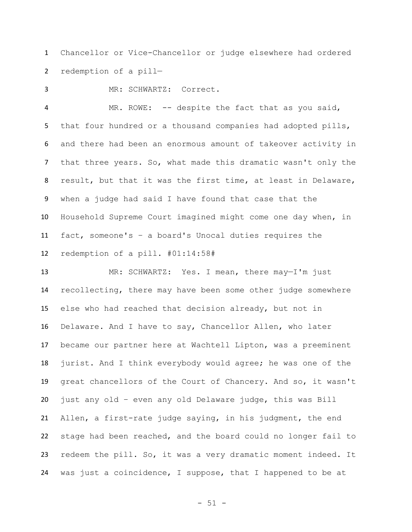Chancellor or Vice-Chancellor or judge elsewhere had ordered redemption of a pill—

MR: SCHWARTZ: Correct.

 MR. ROWE: -- despite the fact that as you said, that four hundred or a thousand companies had adopted pills, and there had been an enormous amount of takeover activity in that three years. So, what made this dramatic wasn't only the result, but that it was the first time, at least in Delaware, when a judge had said I have found that case that the Household Supreme Court imagined might come one day when, in fact, someone's – a board's Unocal duties requires the redemption of a pill. #01:14:58#

 MR: SCHWARTZ: Yes. I mean, there may—I'm just recollecting, there may have been some other judge somewhere else who had reached that decision already, but not in Delaware. And I have to say, Chancellor Allen, who later became our partner here at Wachtell Lipton, was a preeminent jurist. And I think everybody would agree; he was one of the great chancellors of the Court of Chancery. And so, it wasn't just any old – even any old Delaware judge, this was Bill Allen, a first-rate judge saying, in his judgment, the end stage had been reached, and the board could no longer fail to redeem the pill. So, it was a very dramatic moment indeed. It was just a coincidence, I suppose, that I happened to be at

- 51 -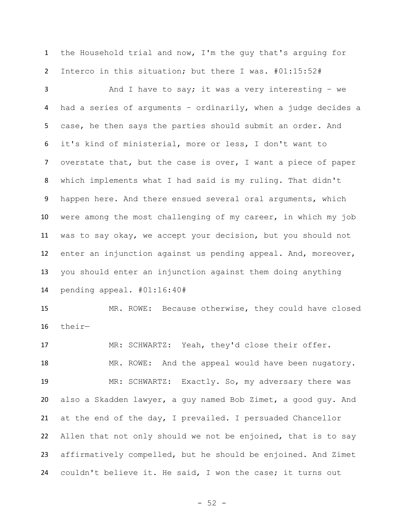the Household trial and now, I'm the guy that's arguing for Interco in this situation; but there I was. #01:15:52#

 And I have to say; it was a very interesting – we had a series of arguments – ordinarily, when a judge decides a case, he then says the parties should submit an order. And it's kind of ministerial, more or less, I don't want to overstate that, but the case is over, I want a piece of paper which implements what I had said is my ruling. That didn't 9 happen here. And there ensued several oral arguments, which were among the most challenging of my career, in which my job was to say okay, we accept your decision, but you should not enter an injunction against us pending appeal. And, moreover, you should enter an injunction against them doing anything pending appeal. #01:16:40#

 MR. ROWE: Because otherwise, they could have closed their—

 MR: SCHWARTZ: Yeah, they'd close their offer. MR. ROWE: And the appeal would have been nugatory. MR: SCHWARTZ: Exactly. So, my adversary there was also a Skadden lawyer, a guy named Bob Zimet, a good guy. And at the end of the day, I prevailed. I persuaded Chancellor Allen that not only should we not be enjoined, that is to say affirmatively compelled, but he should be enjoined. And Zimet couldn't believe it. He said, I won the case; it turns out

- 52 -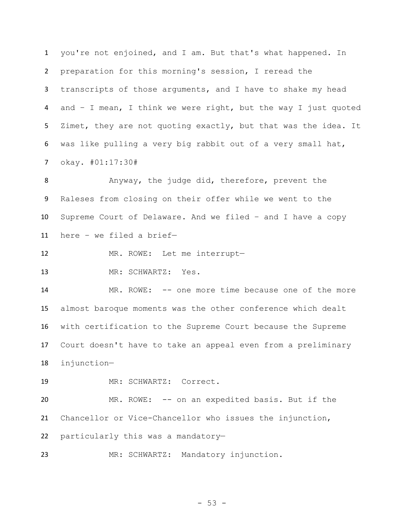you're not enjoined, and I am. But that's what happened. In preparation for this morning's session, I reread the transcripts of those arguments, and I have to shake my head and – I mean, I think we were right, but the way I just quoted Zimet, they are not quoting exactly, but that was the idea. It was like pulling a very big rabbit out of a very small hat, okay. #01:17:30#

8 Anyway, the judge did, therefore, prevent the Raleses from closing on their offer while we went to the Supreme Court of Delaware. And we filed – and I have a copy here – we filed a brief—

- MR. ROWE: Let me interrupt—
- MR: SCHWARTZ: Yes.

 MR. ROWE: -- one more time because one of the more almost baroque moments was the other conference which dealt with certification to the Supreme Court because the Supreme Court doesn't have to take an appeal even from a preliminary injunction—

MR: SCHWARTZ: Correct.

 MR. ROWE: -- on an expedited basis. But if the Chancellor or Vice-Chancellor who issues the injunction, particularly this was a mandatory—

MR: SCHWARTZ: Mandatory injunction.

- 53 -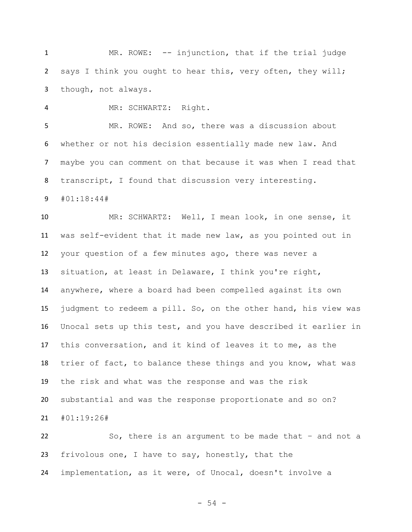1 MR. ROWE: -- injunction, that if the trial judge says I think you ought to hear this, very often, they will; though, not always.

MR: SCHWARTZ: Right.

 MR. ROWE: And so, there was a discussion about whether or not his decision essentially made new law. And maybe you can comment on that because it was when I read that transcript, I found that discussion very interesting.

#01:18:44#

 MR: SCHWARTZ: Well, I mean look, in one sense, it was self-evident that it made new law, as you pointed out in your question of a few minutes ago, there was never a situation, at least in Delaware, I think you're right, anywhere, where a board had been compelled against its own judgment to redeem a pill. So, on the other hand, his view was Unocal sets up this test, and you have described it earlier in this conversation, and it kind of leaves it to me, as the trier of fact, to balance these things and you know, what was the risk and what was the response and was the risk substantial and was the response proportionate and so on? #01:19:26#

 So, there is an argument to be made that – and not a frivolous one, I have to say, honestly, that the implementation, as it were, of Unocal, doesn't involve a

- 54 -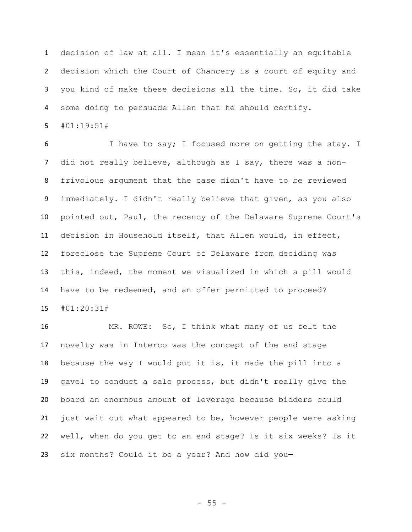decision of law at all. I mean it's essentially an equitable decision which the Court of Chancery is a court of equity and you kind of make these decisions all the time. So, it did take some doing to persuade Allen that he should certify.

#01:19:51#

 I have to say; I focused more on getting the stay. I did not really believe, although as I say, there was a non- frivolous argument that the case didn't have to be reviewed immediately. I didn't really believe that given, as you also pointed out, Paul, the recency of the Delaware Supreme Court's decision in Household itself, that Allen would, in effect, foreclose the Supreme Court of Delaware from deciding was this, indeed, the moment we visualized in which a pill would have to be redeemed, and an offer permitted to proceed? #01:20:31#

 MR. ROWE: So, I think what many of us felt the novelty was in Interco was the concept of the end stage because the way I would put it is, it made the pill into a gavel to conduct a sale process, but didn't really give the board an enormous amount of leverage because bidders could just wait out what appeared to be, however people were asking well, when do you get to an end stage? Is it six weeks? Is it six months? Could it be a year? And how did you—

 $- 55 -$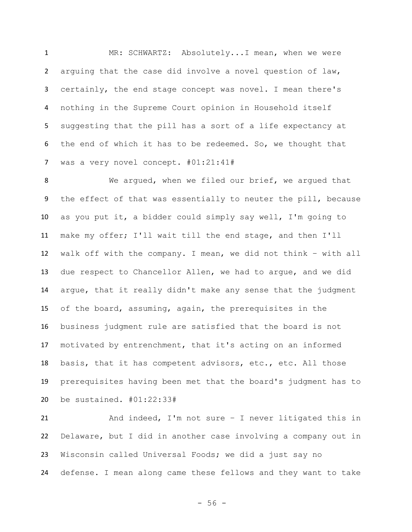MR: SCHWARTZ: Absolutely...I mean, when we were arguing that the case did involve a novel question of law, certainly, the end stage concept was novel. I mean there's nothing in the Supreme Court opinion in Household itself suggesting that the pill has a sort of a life expectancy at the end of which it has to be redeemed. So, we thought that was a very novel concept. #01:21:41#

8 We argued, when we filed our brief, we argued that the effect of that was essentially to neuter the pill, because as you put it, a bidder could simply say well, I'm going to make my offer; I'll wait till the end stage, and then I'll walk off with the company. I mean, we did not think – with all due respect to Chancellor Allen, we had to argue, and we did argue, that it really didn't make any sense that the judgment of the board, assuming, again, the prerequisites in the business judgment rule are satisfied that the board is not motivated by entrenchment, that it's acting on an informed 18 basis, that it has competent advisors, etc., etc. All those prerequisites having been met that the board's judgment has to be sustained. #01:22:33#

 And indeed, I'm not sure – I never litigated this in Delaware, but I did in another case involving a company out in Wisconsin called Universal Foods; we did a just say no defense. I mean along came these fellows and they want to take

- 56 -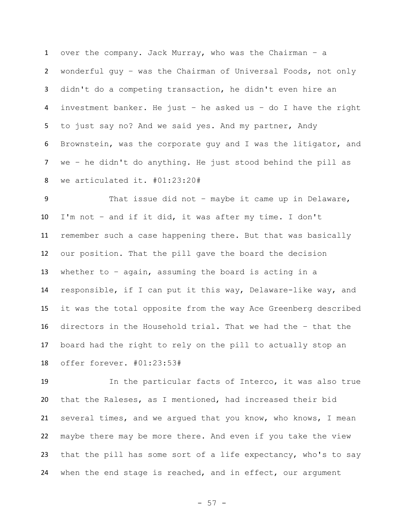over the company. Jack Murray, who was the Chairman – a wonderful guy – was the Chairman of Universal Foods, not only didn't do a competing transaction, he didn't even hire an investment banker. He just – he asked us – do I have the right to just say no? And we said yes. And my partner, Andy Brownstein, was the corporate guy and I was the litigator, and we – he didn't do anything. He just stood behind the pill as we articulated it. #01:23:20#

 That issue did not – maybe it came up in Delaware, I'm not – and if it did, it was after my time. I don't remember such a case happening there. But that was basically our position. That the pill gave the board the decision whether to – again, assuming the board is acting in a responsible, if I can put it this way, Delaware-like way, and it was the total opposite from the way Ace Greenberg described directors in the Household trial. That we had the – that the board had the right to rely on the pill to actually stop an offer forever. #01:23:53#

 In the particular facts of Interco, it was also true that the Raleses, as I mentioned, had increased their bid several times, and we argued that you know, who knows, I mean maybe there may be more there. And even if you take the view that the pill has some sort of a life expectancy, who's to say 24 when the end stage is reached, and in effect, our argument

- 57 -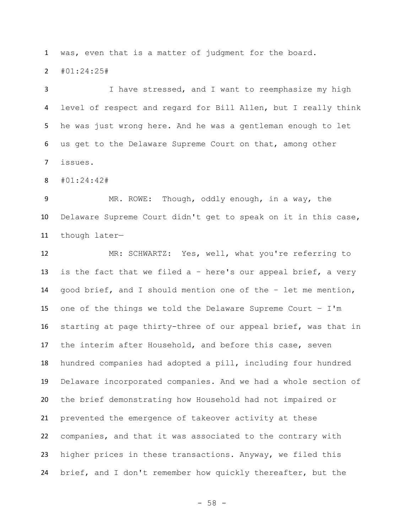was, even that is a matter of judgment for the board.

#01:24:25#

 I have stressed, and I want to reemphasize my high level of respect and regard for Bill Allen, but I really think he was just wrong here. And he was a gentleman enough to let us get to the Delaware Supreme Court on that, among other issues.

#01:24:42#

 MR. ROWE: Though, oddly enough, in a way, the Delaware Supreme Court didn't get to speak on it in this case, though later—

 MR: SCHWARTZ: Yes, well, what you're referring to is the fact that we filed a – here's our appeal brief, a very good brief, and I should mention one of the – let me mention, one of the things we told the Delaware Supreme Court – I'm starting at page thirty-three of our appeal brief, was that in the interim after Household, and before this case, seven hundred companies had adopted a pill, including four hundred Delaware incorporated companies. And we had a whole section of the brief demonstrating how Household had not impaired or prevented the emergence of takeover activity at these companies, and that it was associated to the contrary with higher prices in these transactions. Anyway, we filed this brief, and I don't remember how quickly thereafter, but the

- 58 -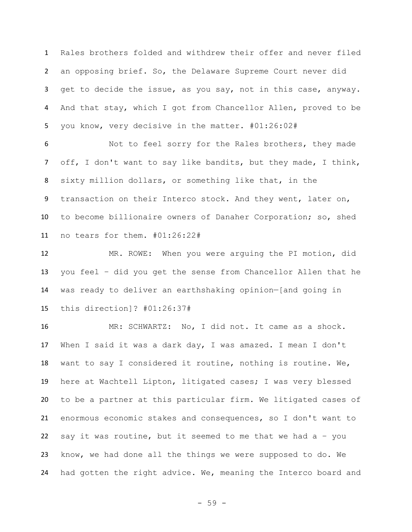Rales brothers folded and withdrew their offer and never filed an opposing brief. So, the Delaware Supreme Court never did get to decide the issue, as you say, not in this case, anyway. And that stay, which I got from Chancellor Allen, proved to be you know, very decisive in the matter. #01:26:02#

 Not to feel sorry for the Rales brothers, they made off, I don't want to say like bandits, but they made, I think, sixty million dollars, or something like that, in the 9 transaction on their Interco stock. And they went, later on, to become billionaire owners of Danaher Corporation; so, shed no tears for them. #01:26:22#

 MR. ROWE: When you were arguing the PI motion, did you feel – did you get the sense from Chancellor Allen that he was ready to deliver an earthshaking opinion—[and going in this direction]? #01:26:37#

 MR: SCHWARTZ: No, I did not. It came as a shock. When I said it was a dark day, I was amazed. I mean I don't want to say I considered it routine, nothing is routine. We, here at Wachtell Lipton, litigated cases; I was very blessed to be a partner at this particular firm. We litigated cases of enormous economic stakes and consequences, so I don't want to say it was routine, but it seemed to me that we had a – you know, we had done all the things we were supposed to do. We had gotten the right advice. We, meaning the Interco board and

- 59 -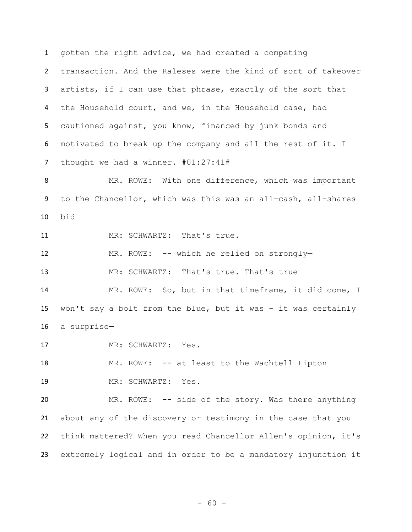gotten the right advice, we had created a competing transaction. And the Raleses were the kind of sort of takeover artists, if I can use that phrase, exactly of the sort that the Household court, and we, in the Household case, had cautioned against, you know, financed by junk bonds and motivated to break up the company and all the rest of it. I thought we had a winner. #01:27:41#

8 MR. ROWE: With one difference, which was important to the Chancellor, which was this was an all-cash, all-shares bid—

11 MR: SCHWARTZ: That's true.

MR. ROWE: -- which he relied on strongly—

13 MR: SCHWARTZ: That's true. That's true-

 MR. ROWE: So, but in that timeframe, it did come, I won't say a bolt from the blue, but it was – it was certainly a surprise—

MR: SCHWARTZ: Yes.

18 MR. ROWE: -- at least to the Wachtell Lipton-MR: SCHWARTZ: Yes.

 MR. ROWE: -- side of the story. Was there anything about any of the discovery or testimony in the case that you think mattered? When you read Chancellor Allen's opinion, it's extremely logical and in order to be a mandatory injunction it

- 60 -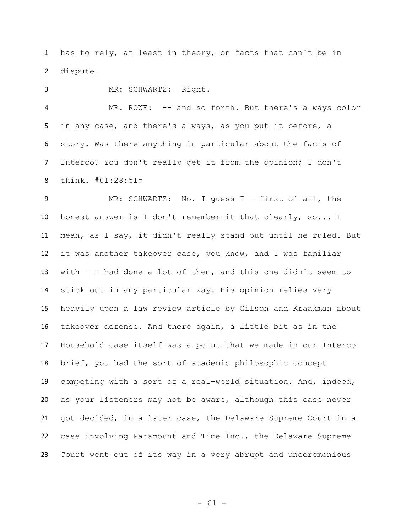has to rely, at least in theory, on facts that can't be in dispute—

MR: SCHWARTZ: Right.

 MR. ROWE: -- and so forth. But there's always color in any case, and there's always, as you put it before, a story. Was there anything in particular about the facts of Interco? You don't really get it from the opinion; I don't think. #01:28:51#

 MR: SCHWARTZ: No. I guess I – first of all, the honest answer is I don't remember it that clearly, so... I mean, as I say, it didn't really stand out until he ruled. But it was another takeover case, you know, and I was familiar with – I had done a lot of them, and this one didn't seem to stick out in any particular way. His opinion relies very heavily upon a law review article by Gilson and Kraakman about takeover defense. And there again, a little bit as in the Household case itself was a point that we made in our Interco brief, you had the sort of academic philosophic concept competing with a sort of a real-world situation. And, indeed, as your listeners may not be aware, although this case never got decided, in a later case, the Delaware Supreme Court in a case involving Paramount and Time Inc., the Delaware Supreme Court went out of its way in a very abrupt and unceremonious

- 61 -